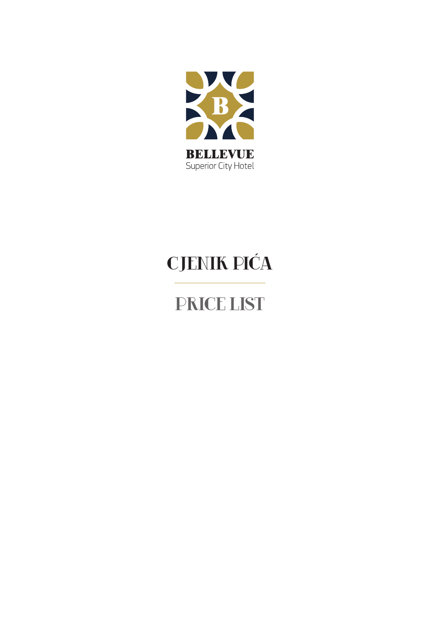

# CJENIK PICA

# PRICE LIST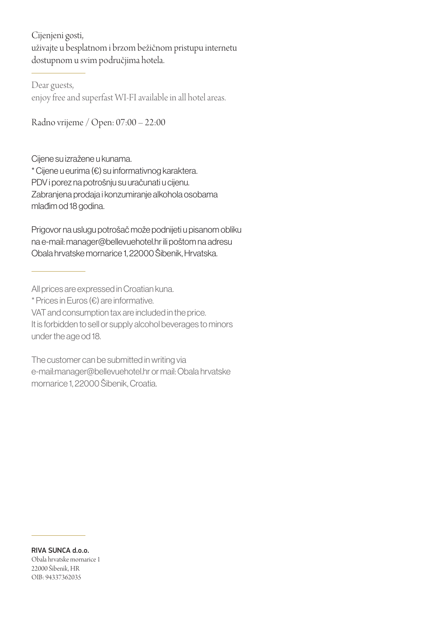Cijenjeni gosti, uživajte u besplatnom i brzom bežičnom pristupu internetu dostupnom u svim područjima hotela.

Dear guests, enjoy free and superfast WI-FI available in all hotel areas.

Radno vrijeme / Open: 07:00 – 22:00

Cijene su izražene u kunama. \* Cijene u eurima (€) su informativnog karaktera. PDV i porez na potrošnju su uračunati u cijenu. Zabranjena prodaja i konzumiranje alkohola osobama mlađim od 18 godina.

Prigovor na uslugu potrošač može podnijeti u pisanom obliku na e-mail: manager@bellevuehotel.hr ili poštom na adresu Obala hrvatske mornarice 1, 22000 Šibenik, Hrvatska.

All prices are expressed in Croatian kuna.

\* Prices in Euros (€) are informative.

VAT and consumption tax are included in the price.

It is forbidden to sell or supply alcohol beverages to minors under the age od 18.

The customer can be submitted in writing via e-mail:manager@bellevuehotel.hr or mail: Obala hrvatske mornarice 1, 22000 Šibenik, Croatia.

RIVA SUNCA d.o.o. Obala hrvatske mornarice 1 22000 Šibenik, HR OIB: 94337362035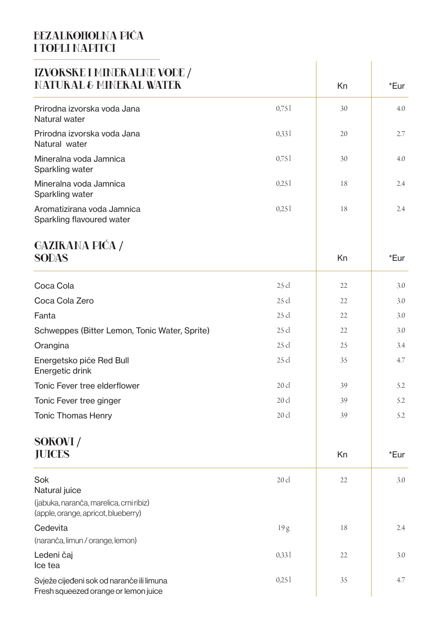#### BEZALKOHOLNA PICA I TOPLI NAPITCI

| IZVORSKE I MINERALNE VODE /<br>NATURAL & MINERAL WATER                                                 |         | Kn     | *Eur    |
|--------------------------------------------------------------------------------------------------------|---------|--------|---------|
| Prirodna izvorska voda Jana<br>Natural water                                                           | 0,751   | 30     | 4.0     |
| Prirodna izvorska voda Jana<br>Natural water                                                           | 0,331   | 20     | 2.7     |
| Mineralna voda Jamnica<br>Sparkling water                                                              | 0,751   | 30     | 4.0     |
| Mineralna voda Jamnica<br>Sparkling water                                                              | 0,251   | 18     | 2.4     |
| Aromatizirana voda Jamnica<br>Sparkling flavoured water                                                | 0,251   | 18     | 2.4     |
| <b>GAZIRANA PIĆA /</b><br><b>SODAS</b>                                                                 |         | Kn     | *Eur    |
| Coca Cola                                                                                              | $25$ cl | 22     | 3.0     |
| Coca Cola Zero                                                                                         | $25$ cl | 22     | 3.0     |
| Fanta                                                                                                  | $25$ cl | 22     | 3.0     |
| Schweppes (Bitter Lemon, Tonic Water, Sprite)                                                          | $25$ cl | 22     | 3.0     |
| Orangina                                                                                               | $25$ cl | 25     | 3.4     |
| Energetsko piće Red Bull<br>Energetic drink                                                            | $25$ cl | 35     | 4.7     |
| Tonic Fever tree elderflower                                                                           | $20$ cl | 39     | 5.2     |
| Tonic Fever tree ginger                                                                                | $20$ cl | 39     | 5.2     |
| <b>Tonic Thomas Henry</b>                                                                              | $20$ cl | 39     | 5.2     |
| SOKOVI/<br><b>JUICES</b>                                                                               |         | Kn     | *Eur    |
| Sok<br>Natural juice<br>(jabuka, naranča, marelica, crni ribiz)<br>(apple, orange, apricot, blueberry) | $20$ cl | $22\,$ | $3.0\,$ |
| Cedevita                                                                                               | 19g     | 18     | 2.4     |
| (naranča, limun / orange, lemon)                                                                       |         |        |         |
| Ledeni čaj<br>Ice tea                                                                                  | 0,331   | $22\,$ | 3.0     |
| Svježe cijeđeni sok od naranče ili limuna<br>Fresh squeezed orange or lemon juice                      | 0,251   | 35     | 4.7     |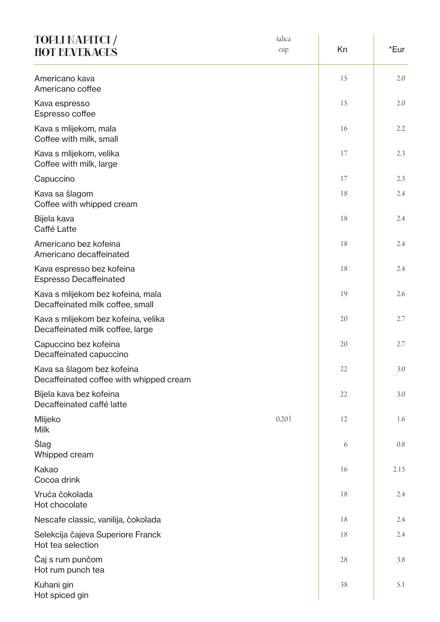| <b>TOPLI NAPITCI</b><br><b>HOT BEVERAGES</b>                            | šalica<br>cup | Kn     | *Eur |
|-------------------------------------------------------------------------|---------------|--------|------|
| Americano kava<br>Americano coffee                                      |               | 15     | 2.0  |
| Kava espresso<br>Espresso coffee                                        |               | 15     | 2.0  |
| Kava s mlijekom, mala<br>Coffee with milk, small                        |               | 16     | 2.2  |
| Kava s mlijekom, velika<br>Coffee with milk, large                      |               | 17     | 2.3  |
| Capuccino                                                               |               | 17     | 2.3  |
| Kava sa šlagom<br>Coffee with whipped cream                             |               | 18     | 2.4  |
| Bijela kava<br>Caffé Latte                                              |               | 18     | 2.4  |
| Americano bez kofeina<br>Americano decaffeinated                        |               | 18     | 2.4  |
| Kava espresso bez kofeina<br><b>Espresso Decaffeinated</b>              |               | 18     | 2.4  |
| Kava s mlijekom bez kofeina, mala<br>Decaffeinated milk coffee, small   |               | 19     | 2.6  |
| Kava s mlijekom bez kofeina, velika<br>Decaffeinated milk coffee, large |               | 20     | 2.7  |
| Capuccino bez kofeina<br>Decaffeinated capuccino                        |               | 20     | 2.7  |
| Kava sa šlagom bez kofeina<br>Decaffeinated coffee with whipped cream   |               | $22\,$ | 3.0  |
| Bijela kava bez kofeina<br>Decaffeinated caffé latte                    |               | $22\,$ | 3.0  |
| Mlijeko<br><b>Milk</b>                                                  | 0,201         | 12     | 1.6  |
| Šlag<br>Whipped cream                                                   |               | 6      | 0.8  |
| Kakao<br>Cocoa drink                                                    |               | 16     | 2.15 |
| Vruća čokolada<br>Hot chocolate                                         |               | 18     | 2.4  |
| Nescafe classic, vanilija, čokolada                                     |               | 18     | 2.4  |
| Selekcija čajeva Superiore Franck<br>Hot tea selection                  |               | 18     | 2.4  |
| Čaj s rum punčom<br>Hot rum punch tea                                   |               | 28     | 3.8  |
| Kuhani gin<br>Hot spiced gin                                            |               | 38     | 5.1  |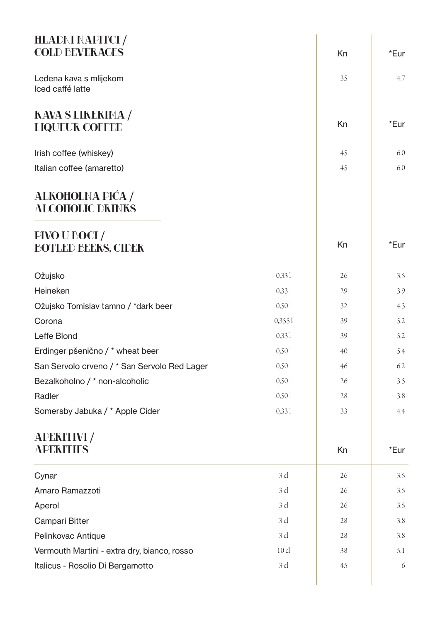| <b>HLADNI NAPITCI /</b><br><b>COLD BEVERAGES</b>   |         | Kn     | *Eur |
|----------------------------------------------------|---------|--------|------|
| Ledena kava s mlijekom<br>Iced caffé latte         |         | 35     | 4.7  |
| <b>KAVA S LIKERIMA /</b><br><b>LIQUEUR COFFEE</b>  |         | Kn     | *Eur |
| Irish coffee (whiskey)                             |         | 45     | 6.0  |
| Italian coffee (amaretto)                          |         | 45     | 6.0  |
| <b>ALKOHOLNA PIĆA /</b><br><b>ALCOHOLIC DRINKS</b> |         |        |      |
| PIVO U BOCI /<br><b>BOTLED BEERS, CIDER</b>        |         | Kn     | *Eur |
| Ožujsko                                            | 0,331   | 26     | 3.5  |
| Heineken                                           | 0,331   | 29     | 3.9  |
| Ožujsko Tomislav tamno / *dark beer                | 0,501   | 32     | 4.3  |
| Corona                                             | 0,3551  | 39     | 5.2  |
| Leffe Blond                                        | 0,331   | 39     | 5.2  |
| Erdinger pšenično / * wheat beer                   | 0,501   | 40     | 5.4  |
| San Servolo crveno / * San Servolo Red Lager       | 0,501   | 46     | 6.2  |
| Bezalkoholno / * non-alcoholic                     | 0,501   | 26     | 3.5  |
| Radler                                             | 0,501   | 28     | 3.8  |
| Somersby Jabuka / * Apple Cider                    | 0,331   | 33     | 4.4  |
| <b>APERITIVI</b> /<br><b>APERITIFS</b>             |         | Kn     | *Eur |
| Cynar                                              | 3 cl    | 26     | 3.5  |
| Amaro Ramazzoti                                    | 3 cl    | 26     | 3.5  |
| Aperol                                             | 3 cl    | 26     | 3.5  |
| Campari Bitter                                     | 3 cl    | $28\,$ | 3.8  |
| Pelinkovac Antique                                 | 3 cl    | 28     | 3.8  |
| Vermouth Martini - extra dry, bianco, rosso        | $10$ cl | 38     | 5.1  |
| Italicus - Rosolio Di Bergamotto                   | 3 cl    | 45     | 6    |
|                                                    |         |        |      |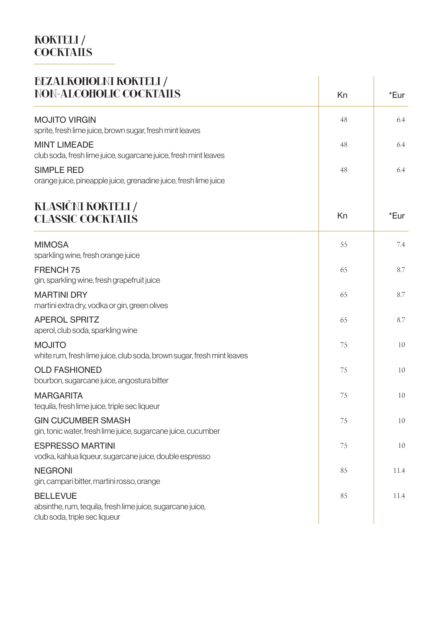### KOKTELI / **COCKTAILS**

| <b>BEZALKOHOLNI KOKTELI /</b>                                                                                  |    |      |
|----------------------------------------------------------------------------------------------------------------|----|------|
| <b>NON-ALCOHOLIC COCKTAILS</b>                                                                                 | Kn | *Eur |
| <b>MOJITO VIRGIN</b><br>sprite, fresh lime juice, brown sugar, fresh mint leaves                               | 48 | 6.4  |
| <b>MINT LIMEADE</b><br>club soda, fresh lime juice, sugarcane juice, fresh mint leaves                         | 48 | 6.4  |
| <b>SIMPLE RED</b><br>orange juice, pineapple juice, grenadine juice, fresh lime juice                          | 48 | 6.4  |
| <b>KLASIČNI KOKTELI /</b><br><b>CLASSIC COCKTAILS</b>                                                          | Kn | *Eur |
| <b>MIMOSA</b><br>sparkling wine, fresh orange juice                                                            | 55 | 7.4  |
| FRENCH <sub>75</sub><br>gin, sparkling wine, fresh grapefruit juice                                            | 65 | 8.7  |
| <b>MARTINI DRY</b><br>martini extra dry, vodka or gin, green olives                                            | 65 | 8.7  |
| <b>APEROL SPRITZ</b><br>aperol, club soda, sparkling wine                                                      | 65 | 8.7  |
| <b>MOJITO</b><br>white rum, fresh lime juice, club soda, brown sugar, fresh mint leaves                        | 75 | 10   |
| <b>OLD FASHIONED</b><br>bourbon, sugarcane juice, angostura bitter                                             | 75 | 10   |
| <b>MARGARITA</b><br>tequila, fresh lime juice, triple sec liqueur                                              | 75 | 10   |
| <b>GIN CUCUMBER SMASH</b><br>gin, tonic water, fresh lime juice, sugarcane juice, cucumber                     | 75 | 10   |
| <b>ESPRESSO MARTINI</b><br>vodka, kahlua liqueur, sugarcane juice, double espresso                             | 75 | 10   |
| <b>NEGRONI</b><br>gin, campari bitter, martini rosso, orange                                                   | 85 | 11.4 |
| <b>BELLEVUE</b><br>absinthe, rum, tequila, fresh lime juice, sugarcane juice,<br>club soda, triple sec liqueur | 85 | 11.4 |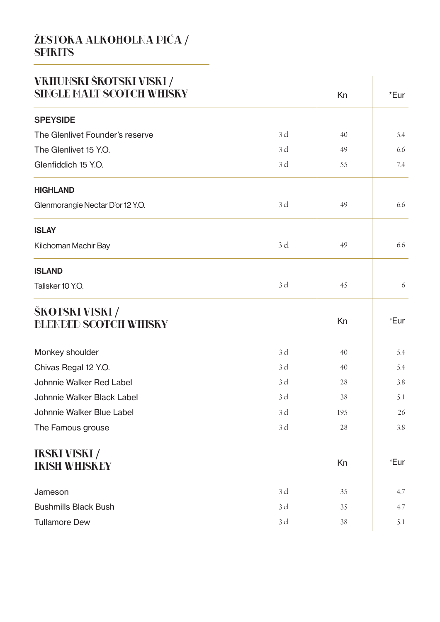## ŽESTOKA ALKOHOLNA PICA / **SPIRITS**

| VRHUNSKI ŠKOTSKI VISKI /                        |        |     |         |
|-------------------------------------------------|--------|-----|---------|
| <b>SINGLE MALT SCOTCH WHISKY</b>                |        | Kn  | *Eur    |
| <b>SPEYSIDE</b>                                 |        |     |         |
| The Glenlivet Founder's reserve                 | 3 cl   | 40  | 5.4     |
| The Glenlivet 15 Y.O.                           | 3 cl   | 49  | 6.6     |
| Glenfiddich 15 Y.O.                             | $3$ cl | 55  | 7.4     |
| <b>HIGHLAND</b>                                 |        |     |         |
| Glenmorangie Nectar D'or 12 Y.O.                | $3$ cl | 49  | 6.6     |
| <b>ISLAY</b>                                    |        |     |         |
| Kilchoman Machir Bay                            | $3$ cl | 49  | 6.6     |
| <b>ISLAND</b>                                   |        |     |         |
| Talisker 10 Y.O.                                | 3 cl   | 45  | 6       |
| ŠKOTSKI VISKI /<br><b>BLENDED SCOTCH WHISKY</b> |        | Kn  | *Eur    |
| Monkey shoulder                                 | 3 cl   | 40  | 5.4     |
| Chivas Regal 12 Y.O.                            | 3 cl   | 40  | 5.4     |
| Johnnie Walker Red Label                        | 3 cl   | 28  | 3.8     |
| Johnnie Walker Black Label                      | 3 cl   | 38  | 5.1     |
| Johnnie Walker Blue Label                       | 3 cl   | 195 | 26      |
| The Famous grouse                               | 3 cl   | 28  | $3.8\,$ |
| <b>IRSKI VISKI</b> /<br><b>IRISH WHISKEY</b>    |        | Kn  | *Eur    |
| Jameson                                         | 3 cl   | 35  | 4.7     |
| <b>Bushmills Black Bush</b>                     | 3 cl   | 35  | 4.7     |
| <b>Tullamore Dew</b>                            | 3 cl   | 38  | 5.1     |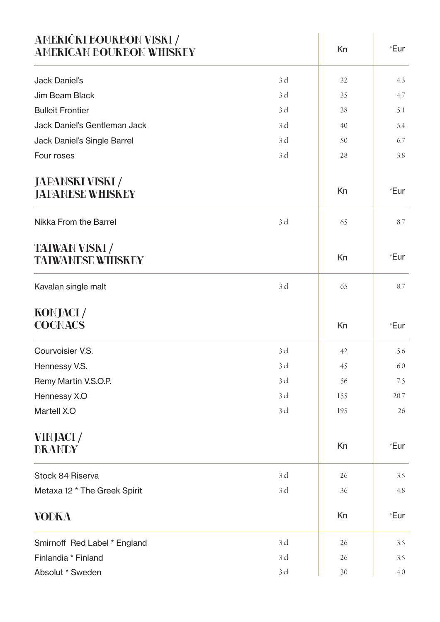| AMERIČKI BOURBON VISKI /<br><b>AMERICAN BOURBON WHISKEY</b> |      | Kn     | Eur     |
|-------------------------------------------------------------|------|--------|---------|
| <b>Jack Daniel's</b>                                        | 3 cl | 32     | 4.3     |
| Jim Beam Black                                              | 3 cl | 35     | 4.7     |
| <b>Bulleit Frontier</b>                                     | 3 cl | 38     | 5.1     |
| Jack Daniel's Gentleman Jack                                | 3 cl | 40     | 5.4     |
| Jack Daniel's Single Barrel                                 | 3 cl | 50     | 6.7     |
| Four roses                                                  | 3 cl | 28     | 3.8     |
| <b>JAPANSKI VISKI</b> /<br><b>JAPANESE WHISKEY</b>          |      | Kn     | *Eur    |
| Nikka From the Barrel                                       | 3 cl | 65     | 8.7     |
| <b>TAIWAN VISKI</b> /<br><b>TAIWANESE WHISKEY</b>           |      | Kn     | Eur     |
| Kavalan single malt                                         | 3 cl | 65     | 8.7     |
| KONJACI /<br><b>COGNACS</b>                                 |      | Kn     | Eur     |
| Courvoisier V.S.                                            | 3 cl | 42     | 5.6     |
| Hennessy V.S.                                               | 3 cl | 45     | 6.0     |
| Remy Martin V.S.O.P.                                        | 3 cl | 56     | $7.5\,$ |
| Hennessy X.O                                                | 3 cl | 155    | 20.7    |
| Martell X.O                                                 | 3 cl | 195    | 26      |
| VINJACI /<br><b>BRANDY</b>                                  |      | Kn     | Eur     |
| Stock 84 Riserva                                            | 3 cl | 26     | 3.5     |
| Metaxa 12 * The Greek Spirit                                | 3 cl | 36     | 4.8     |
| <b>VODKA</b>                                                |      | Kn     | Eur     |
| Smirnoff Red Label * England                                | 3 cl | $26\,$ | 3.5     |
| Finlandia * Finland                                         | 3 cl | 26     | 3.5     |
| Absolut * Sweden                                            | 3 cl | $30\,$ | 4.0     |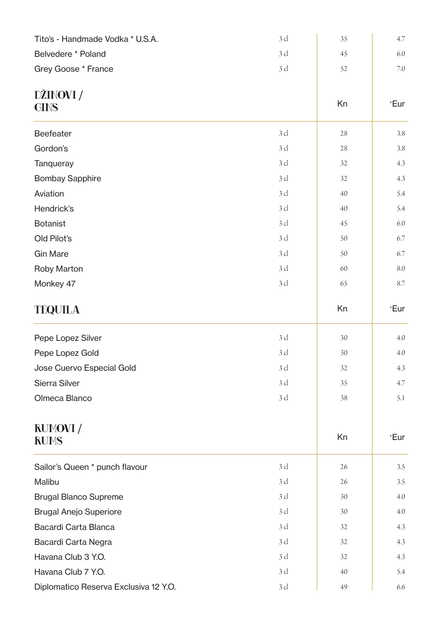| Tito's - Handmade Vodka * U.S.A.      | 3 cl | 35     | 4.7     |
|---------------------------------------|------|--------|---------|
| Belvedere * Poland                    | 3 cl | 45     | 6.0     |
| Grey Goose * France                   | 3 cl | 52     | $7.0\,$ |
| DŽINOVI /<br><b>GINS</b>              |      | Kn     | Eur     |
| Beefeater                             | 3 cl | $28\,$ | 3.8     |
| Gordon's                              | 3 cl | $28\,$ | $3.8\,$ |
| Tanqueray                             | 3 cl | $32\,$ | 4.3     |
| <b>Bombay Sapphire</b>                | 3 cl | 32     | 4.3     |
| Aviation                              | 3 cl | 40     | 5.4     |
| Hendrick's                            | 3 cl | 40     | 5.4     |
| <b>Botanist</b>                       | 3 cl | 45     | 6.0     |
| Old Pilot's                           | 3 cl | 50     | 6.7     |
| <b>Gin Mare</b>                       | 3 cl | 50     | 6.7     |
| Roby Marton                           | 3 cl | 60     | 8.0     |
| Monkey 47                             | 3 cl | 65     | 8.7     |
| <b>TEQUILA</b>                        |      | Kn     | Eur     |
| Pepe Lopez Silver                     | 3 cl | $30\,$ | 4.0     |
| Pepe Lopez Gold                       | 3 cl | $30\,$ | 4.0     |
| Jose Cuervo Especial Gold             | 3 cl | 32     | 4.3     |
| Sierra Silver                         | 3 cl | 35     | 4.7     |
| Olmeca Blanco                         | 3 cl | 38     | 5.1     |
| <b>RUMOVI</b> /<br><b>RUMS</b>        |      | Kn     | Eur     |
| Sailor's Queen * punch flavour        | 3 cl | $26\,$ | 3.5     |
| Malibu                                | 3 cl | 26     | 3.5     |
| <b>Brugal Blanco Supreme</b>          | 3 cl | 30     | 4.0     |
| <b>Brugal Anejo Superiore</b>         | 3 cl | 30     | 4.0     |
| Bacardi Carta Blanca                  | 3 cl | 32     | 4.3     |
| Bacardi Carta Negra                   | 3 cl | 32     | 4.3     |
| Havana Club 3 Y.O.                    | 3 cl | 32     | 4.3     |
| Havana Club 7 Y.O.                    | 3 cl | 40     | 5.4     |
| Diplomatico Reserva Exclusiva 12 Y.O. | 3 cl | 49     | 6.6     |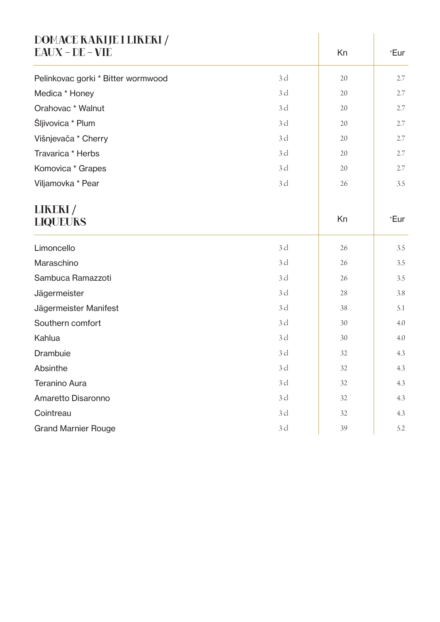| DOMACE RAKIJE I LIKERI /<br>$EAUX - DE - VIE$ |        | Kn     | Eur |
|-----------------------------------------------|--------|--------|-----|
| Pelinkovac gorki * Bitter wormwood            | 3 cl   | 20     | 2.7 |
| Medica * Honey                                | 3 cl   | 20     | 2.7 |
| Orahovac * Walnut                             | $3$ cl | 20     | 2.7 |
| Šljivovica * Plum                             | 3 cl   | 20     | 2.7 |
| Višnjevača * Cherry                           | 3 cl   | 20     | 2.7 |
| Travarica * Herbs                             | 3 cl   | $20\,$ | 2.7 |
| Komovica * Grapes                             | 3 cl   | 20     | 2.7 |
| Viljamovka * Pear                             | 3 cl   | 26     | 3.5 |
| LIKERI/<br><b>LIQUEURS</b>                    |        | Kn     | Eur |
| Limoncello                                    | 3 cl   | 26     | 3.5 |
| Maraschino                                    | 3 cl   | 26     | 3.5 |
| Sambuca Ramazzoti                             | 3 cl   | 26     | 3.5 |
| Jägermeister                                  | 3 cl   | 28     | 3.8 |
| Jägermeister Manifest                         | 3 cl   | 38     | 5.1 |
| Southern comfort                              | 3 cl   | 30     | 4.0 |
| Kahlua                                        | 3 cl   | 30     | 4.0 |
| Drambuie                                      | 3 cl   | 32     | 4.3 |
| Absinthe                                      | 3 cl   | 32     | 4.3 |
| Teranino Aura                                 | 3 cl   | 32     | 4.3 |
| Amaretto Disaronno                            | 3 cl   | 32     | 4.3 |
| Cointreau                                     | 3 cl   | 32     | 4.3 |
| <b>Grand Marnier Rouge</b>                    | 3 cl   | 39     | 5.2 |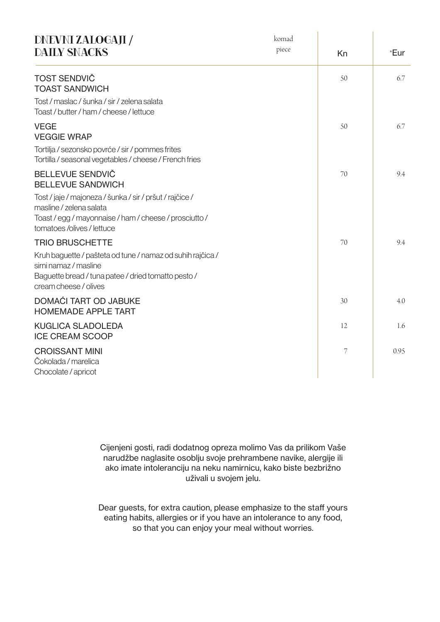| DNEVNI ZALOGAJI /<br><b>DAILY SNACKS</b>                                                                                                                                                      | komad<br>piece | Kn | *Eur |
|-----------------------------------------------------------------------------------------------------------------------------------------------------------------------------------------------|----------------|----|------|
| <b>TOST SENDVIČ</b><br><b>TOAST SANDWICH</b>                                                                                                                                                  |                | 50 | 6.7  |
| Tost / maslac / šunka / sir / zelena salata<br>Toast / butter / ham / cheese / lettuce                                                                                                        |                |    |      |
| <b>VEGE</b><br><b>VEGGIE WRAP</b>                                                                                                                                                             |                | 50 | 6.7  |
| Tortilja / sezonsko povrće / sir / pommes frites<br>Tortilla / seasonal vegetables / cheese / French fries                                                                                    |                |    |      |
| <b>BELLEVUE SENDVIČ</b><br><b>BELLEVUE SANDWICH</b>                                                                                                                                           |                | 70 | 9.4  |
| Tost / jaje / majoneza / šunka / sir / pršut / rajčice /<br>masline / zelena salata<br>Toast / egg / mayonnaise / ham / cheese / prosciutto /<br>tomatoes/olives/lettuce                      |                |    |      |
| <b>TRIO BRUSCHETTE</b><br>Kruh baguette / pašteta od tune / namaz od suhih rajčica /<br>sirni namaz / masline<br>Baguette bread / tuna patee / dried tomatto pesto /<br>cream cheese / olives |                | 70 | 9.4  |
| DOMAĆI TART OD JABUKE<br><b>HOMEMADE APPLE TART</b>                                                                                                                                           |                | 30 | 4.0  |
| <b>KUGLICA SLADOLEDA</b><br><b>ICE CREAM SCOOP</b>                                                                                                                                            |                | 12 | 1.6  |
| <b>CROISSANT MINI</b><br>Čokolada / marelica<br>Chocolate / apricot                                                                                                                           |                | 7  | 0.95 |

Cijenjeni gosti, radi dodatnog opreza molimo Vas da prilikom Vaše narudžbe naglasite osoblju svoje prehrambene navike, alergije ili ako imate intoleranciju na neku namirnicu, kako biste bezbrižno uživali u svojem jelu.

Dear guests, for extra caution, please emphasize to the staff yours eating habits, allergies or if you have an intolerance to any food, so that you can enjoy your meal without worries.